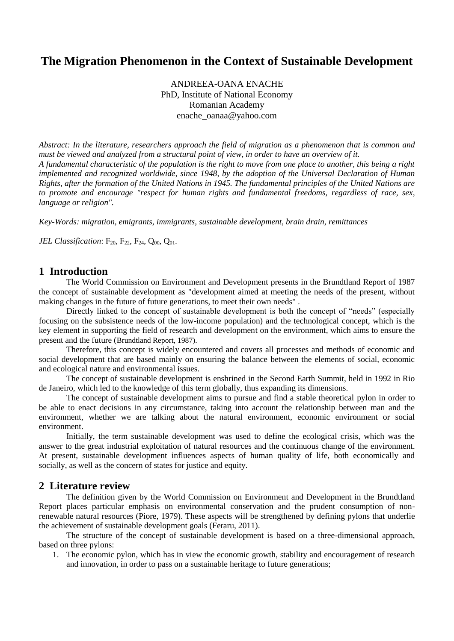# **The Migration Phenomenon in the Context of Sustainable Development**

ANDREEA-OANA ENACHE PhD, Institute of National Economy Romanian Academy enache\_oanaa@yahoo.com

*Abstract: In the literature, researchers approach the field of migration as a phenomenon that is common and must be viewed and analyzed from a structural point of view, in order to have an overview of it. A fundamental characteristic of the population is the right to move from one place to another, this being a right implemented and recognized worldwide, since 1948, by the adoption of the Universal Declaration of Human Rights, after the formation of the United Nations in 1945. The fundamental principles of the United Nations are to promote and encourage "respect for human rights and fundamental freedoms, regardless of race, sex, language or religion".*

*Key-Words: migration, emigrants, immigrants, sustainable development, brain drain, remittances*

*JEL Classification*: F<sub>20</sub>, F<sub>22</sub>, F<sub>24</sub>, Q<sub>00</sub>, Q<sub>01</sub>.

### **1 Introduction**

The World Commission on Environment and Development presents in the Brundtland Report of 1987 the concept of sustainable development as "development aimed at meeting the needs of the present, without making changes in the future of future generations, to meet their own needs" .

Directly linked to the concept of sustainable development is both the concept of "needs" (especially focusing on the subsistence needs of the low-income population) and the technological concept, which is the key element in supporting the field of research and development on the environment, which aims to ensure the present and the future (Brundtland Report, 1987).

Therefore, this concept is widely encountered and covers all processes and methods of economic and social development that are based mainly on ensuring the balance between the elements of social, economic and ecological nature and environmental issues.

The concept of sustainable development is enshrined in the Second Earth Summit, held in 1992 in Rio de Janeiro, which led to the knowledge of this term globally, thus expanding its dimensions.

The concept of sustainable development aims to pursue and find a stable theoretical pylon in order to be able to enact decisions in any circumstance, taking into account the relationship between man and the environment, whether we are talking about the natural environment, economic environment or social environment.

Initially, the term sustainable development was used to define the ecological crisis, which was the answer to the great industrial exploitation of natural resources and the continuous change of the environment. At present, sustainable development influences aspects of human quality of life, both economically and socially, as well as the concern of states for justice and equity.

# **2 Literature review**

The definition given by the World Commission on Environment and Development in the Brundtland Report places particular emphasis on environmental conservation and the prudent consumption of nonrenewable natural resources (Piore, 1979). These aspects will be strengthened by defining pylons that underlie the achievement of sustainable development goals (Feraru, 2011).

The structure of the concept of sustainable development is based on a three-dimensional approach, based on three pylons:

1. The economic pylon, which has in view the economic growth, stability and encouragement of research and innovation, in order to pass on a sustainable heritage to future generations;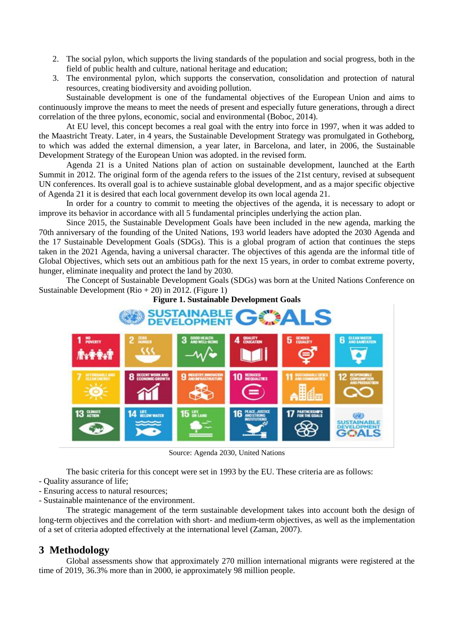- 2. The social pylon, which supports the living standards of the population and social progress, both in the field of public health and culture, national heritage and education;
- 3. The environmental pylon, which supports the conservation, consolidation and protection of natural resources, creating biodiversity and avoiding pollution.

Sustainable development is one of the fundamental objectives of the European Union and aims to continuously improve the means to meet the needs of present and especially future generations, through a direct correlation of the three pylons, economic, social and environmental (Boboc, 2014).

At EU level, this concept becomes a real goal with the entry into force in 1997, when it was added to the Maastricht Treaty. Later, in 4 years, the Sustainable Development Strategy was promulgated in Gotheborg, to which was added the external dimension, a year later, in Barcelona, and later, in 2006, the Sustainable Development Strategy of the European Union was adopted. in the revised form.

Agenda 21 is a United Nations plan of action on sustainable development, launched at the Earth Summit in 2012. The original form of the agenda refers to the issues of the 21st century, revised at subsequent UN conferences. Its overall goal is to achieve sustainable global development, and as a major specific objective of Agenda 21 it is desired that each local government develop its own local agenda 21.

In order for a country to commit to meeting the objectives of the agenda, it is necessary to adopt or improve its behavior in accordance with all 5 fundamental principles underlying the action plan.

Since 2015, the Sustainable Development Goals have been included in the new agenda, marking the 70th anniversary of the founding of the United Nations, 193 world leaders have adopted the 2030 Agenda and the 17 Sustainable Development Goals (SDGs). This is a global program of action that continues the steps taken in the 2021 Agenda, having a universal character. The objectives of this agenda are the informal title of Global Objectives, which sets out an ambitious path for the next 15 years, in order to combat extreme poverty, hunger, eliminate inequality and protect the land by 2030.

The Concept of Sustainable Development Goals (SDGs) was born at the United Nations Conference on Sustainable Development ( $\text{Rio} + 20$ ) in 2012. (Figure 1) **Figure 1. Sustainable Development Goals**



Source: Agenda 2030, United Nations

The basic criteria for this concept were set in 1993 by the EU. These criteria are as follows:

- Quality assurance of life;
- Ensuring access to natural resources;
- Sustainable maintenance of the environment.

The strategic management of the term sustainable development takes into account both the design of long-term objectives and the correlation with short- and medium-term objectives, as well as the implementation of a set of criteria adopted effectively at the international level (Zaman, 2007).

# **3 Methodology**

Global assessments show that approximately 270 million international migrants were registered at the time of 2019, 36.3% more than in 2000, ie approximately 98 million people.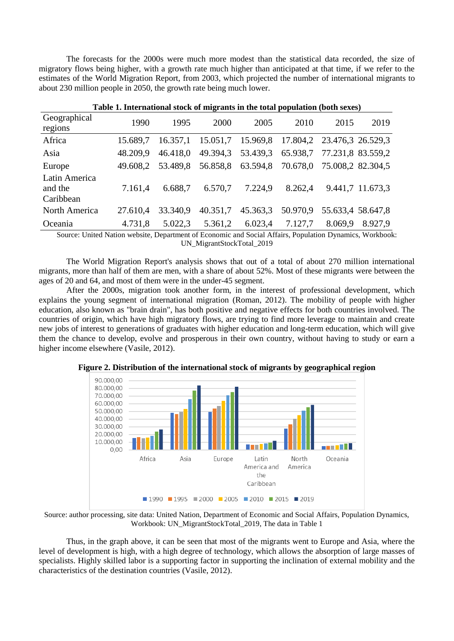The forecasts for the 2000s were much more modest than the statistical data recorded, the size of migratory flows being higher, with a growth rate much higher than anticipated at that time, if we refer to the estimates of the World Migration Report, from 2003, which projected the number of international migrants to about 230 million people in 2050, the growth rate being much lower.

| Table 1. International stock of migrants in the total population (both sexes) |          |          |          |                                              |          |                   |                  |
|-------------------------------------------------------------------------------|----------|----------|----------|----------------------------------------------|----------|-------------------|------------------|
| Geographical<br>regions                                                       | 1990     | 1995     | 2000     | 2005                                         | 2010     | 2015              | 2019             |
| Africa                                                                        | 15.689,7 | 16.357,1 |          | 15.051,7 15.969,8 17.804,2 23.476,3 26.529,3 |          |                   |                  |
| Asia                                                                          | 48.209.9 | 46.418,0 | 49.394,3 | 53.439,3                                     | 65.938,7 | 77.231,8 83.559,2 |                  |
| Europe                                                                        | 49.608.2 | 53.489,8 | 56.858,8 | 63.594,8 70.678,0                            |          | 75.008.2 82.304.5 |                  |
| Latin America<br>and the<br>Caribbean                                         | 7.161,4  | 6.688,7  | 6.570,7  | 7.224,9                                      | 8.262,4  |                   | 9.441,7 11.673,3 |
| North America                                                                 | 27.610,4 | 33.340,9 | 40.351,7 | 45.363,3                                     | 50.970,9 | 55.633,4 58.647,8 |                  |
| Oceania                                                                       | 4.731,8  | 5.022,3  | 5.361,2  | 6.023,4                                      | 7.127,7  | 8.069,9           | 8.927.9          |

**Table 1. International stock of migrants in the total population (both sexes)**

Source: United Nation website, Department of Economic and Social Affairs, Population Dynamics, Workbook: UN\_MigrantStockTotal\_2019

The World Migration Report's analysis shows that out of a total of about 270 million international migrants, more than half of them are men, with a share of about 52%. Most of these migrants were between the ages of 20 and 64, and most of them were in the under-45 segment.

After the 2000s, migration took another form, in the interest of professional development, which explains the young segment of international migration (Roman, 2012). The mobility of people with higher education, also known as "brain drain", has both positive and negative effects for both countries involved. The countries of origin, which have high migratory flows, are trying to find more leverage to maintain and create new jobs of interest to generations of graduates with higher education and long-term education, which will give them the chance to develop, evolve and prosperous in their own country, without having to study or earn a higher income elsewhere (Vasile, 2012).



**Figure 2. Distribution of the international stock of migrants by geographical region**

Source: author processing, site data: United Nation, Department of Economic and Social Affairs, Population Dynamics, Workbook: UN\_MigrantStockTotal\_2019, The data in Table 1

Thus, in the graph above, it can be seen that most of the migrants went to Europe and Asia, where the level of development is high, with a high degree of technology, which allows the absorption of large masses of specialists. Highly skilled labor is a supporting factor in supporting the inclination of external mobility and the characteristics of the destination countries (Vasile, 2012).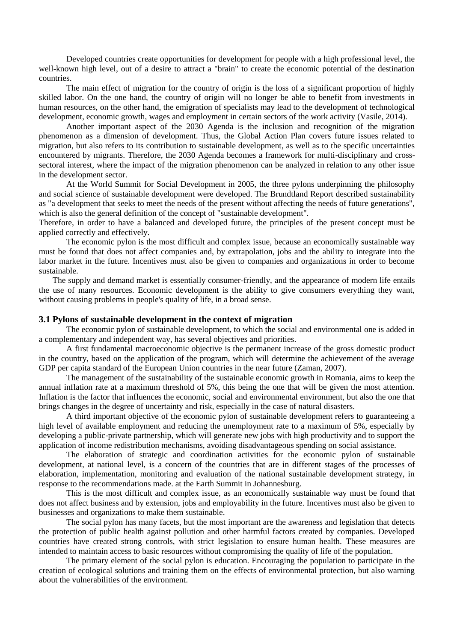Developed countries create opportunities for development for people with a high professional level, the well-known high level, out of a desire to attract a "brain" to create the economic potential of the destination countries.

The main effect of migration for the country of origin is the loss of a significant proportion of highly skilled labor. On the one hand, the country of origin will no longer be able to benefit from investments in human resources, on the other hand, the emigration of specialists may lead to the development of technological development, economic growth, wages and employment in certain sectors of the work activity (Vasile, 2014).

Another important aspect of the 2030 Agenda is the inclusion and recognition of the migration phenomenon as a dimension of development. Thus, the Global Action Plan covers future issues related to migration, but also refers to its contribution to sustainable development, as well as to the specific uncertainties encountered by migrants. Therefore, the 2030 Agenda becomes a framework for multi-disciplinary and crosssectoral interest, where the impact of the migration phenomenon can be analyzed in relation to any other issue in the development sector.

At the World Summit for Social Development in 2005, the three pylons underpinning the philosophy and social science of sustainable development were developed. The Brundtland Report described sustainability as "a development that seeks to meet the needs of the present without affecting the needs of future generations", which is also the general definition of the concept of "sustainable development".

Therefore, in order to have a balanced and developed future, the principles of the present concept must be applied correctly and effectively.

The economic pylon is the most difficult and complex issue, because an economically sustainable way must be found that does not affect companies and, by extrapolation, jobs and the ability to integrate into the labor market in the future. Incentives must also be given to companies and organizations in order to become sustainable.

The supply and demand market is essentially consumer-friendly, and the appearance of modern life entails the use of many resources. Economic development is the ability to give consumers everything they want, without causing problems in people's quality of life, in a broad sense.

### **3.1 Pylons of sustainable development in the context of migration**

The economic pylon of sustainable development, to which the social and environmental one is added in a complementary and independent way, has several objectives and priorities.

A first fundamental macroeconomic objective is the permanent increase of the gross domestic product in the country, based on the application of the program, which will determine the achievement of the average GDP per capita standard of the European Union countries in the near future (Zaman, 2007).

The management of the sustainability of the sustainable economic growth in Romania, aims to keep the annual inflation rate at a maximum threshold of 5%, this being the one that will be given the most attention. Inflation is the factor that influences the economic, social and environmental environment, but also the one that brings changes in the degree of uncertainty and risk, especially in the case of natural disasters.

A third important objective of the economic pylon of sustainable development refers to guaranteeing a high level of available employment and reducing the unemployment rate to a maximum of 5%, especially by developing a public-private partnership, which will generate new jobs with high productivity and to support the application of income redistribution mechanisms, avoiding disadvantageous spending on social assistance.

The elaboration of strategic and coordination activities for the economic pylon of sustainable development, at national level, is a concern of the countries that are in different stages of the processes of elaboration, implementation, monitoring and evaluation of the national sustainable development strategy, in response to the recommendations made. at the Earth Summit in Johannesburg.

This is the most difficult and complex issue, as an economically sustainable way must be found that does not affect business and by extension, jobs and employability in the future. Incentives must also be given to businesses and organizations to make them sustainable.

The social pylon has many facets, but the most important are the awareness and legislation that detects the protection of public health against pollution and other harmful factors created by companies. Developed countries have created strong controls, with strict legislation to ensure human health. These measures are intended to maintain access to basic resources without compromising the quality of life of the population.

The primary element of the social pylon is education. Encouraging the population to participate in the creation of ecological solutions and training them on the effects of environmental protection, but also warning about the vulnerabilities of the environment.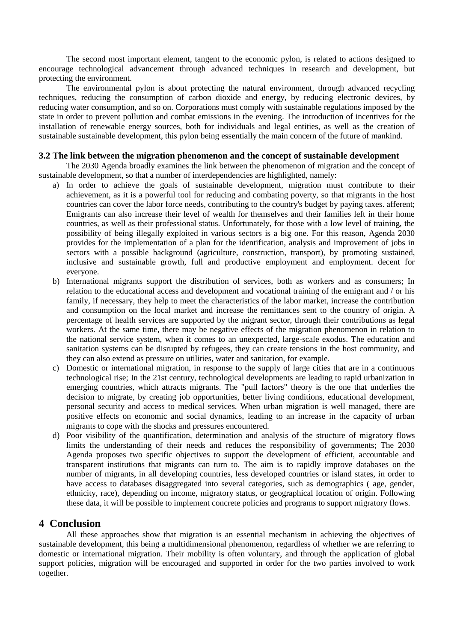The second most important element, tangent to the economic pylon, is related to actions designed to encourage technological advancement through advanced techniques in research and development, but protecting the environment.

The environmental pylon is about protecting the natural environment, through advanced recycling techniques, reducing the consumption of carbon dioxide and energy, by reducing electronic devices, by reducing water consumption, and so on. Corporations must comply with sustainable regulations imposed by the state in order to prevent pollution and combat emissions in the evening. The introduction of incentives for the installation of renewable energy sources, both for individuals and legal entities, as well as the creation of sustainable sustainable development, this pylon being essentially the main concern of the future of mankind.

### **3.2 The link between the migration phenomenon and the concept of sustainable development**

The 2030 Agenda broadly examines the link between the phenomenon of migration and the concept of sustainable development, so that a number of interdependencies are highlighted, namely:

- a) In order to achieve the goals of sustainable development, migration must contribute to their achievement, as it is a powerful tool for reducing and combating poverty, so that migrants in the host countries can cover the labor force needs, contributing to the country's budget by paying taxes. afferent; Emigrants can also increase their level of wealth for themselves and their families left in their home countries, as well as their professional status. Unfortunately, for those with a low level of training, the possibility of being illegally exploited in various sectors is a big one. For this reason, Agenda 2030 provides for the implementation of a plan for the identification, analysis and improvement of jobs in sectors with a possible background (agriculture, construction, transport), by promoting sustained, inclusive and sustainable growth, full and productive employment and employment. decent for everyone.
- b) International migrants support the distribution of services, both as workers and as consumers; In relation to the educational access and development and vocational training of the emigrant and / or his family, if necessary, they help to meet the characteristics of the labor market, increase the contribution and consumption on the local market and increase the remittances sent to the country of origin. A percentage of health services are supported by the migrant sector, through their contributions as legal workers. At the same time, there may be negative effects of the migration phenomenon in relation to the national service system, when it comes to an unexpected, large-scale exodus. The education and sanitation systems can be disrupted by refugees, they can create tensions in the host community, and they can also extend as pressure on utilities, water and sanitation, for example.
- c) Domestic or international migration, in response to the supply of large cities that are in a continuous technological rise; In the 21st century, technological developments are leading to rapid urbanization in emerging countries, which attracts migrants. The "pull factors" theory is the one that underlies the decision to migrate, by creating job opportunities, better living conditions, educational development, personal security and access to medical services. When urban migration is well managed, there are positive effects on economic and social dynamics, leading to an increase in the capacity of urban migrants to cope with the shocks and pressures encountered.
- d) Poor visibility of the quantification, determination and analysis of the structure of migratory flows limits the understanding of their needs and reduces the responsibility of governments; The 2030 Agenda proposes two specific objectives to support the development of efficient, accountable and transparent institutions that migrants can turn to. The aim is to rapidly improve databases on the number of migrants, in all developing countries, less developed countries or island states, in order to have access to databases disaggregated into several categories, such as demographics ( age, gender, ethnicity, race), depending on income, migratory status, or geographical location of origin. Following these data, it will be possible to implement concrete policies and programs to support migratory flows.

# **4 Conclusion**

All these approaches show that migration is an essential mechanism in achieving the objectives of sustainable development, this being a multidimensional phenomenon, regardless of whether we are referring to domestic or international migration. Their mobility is often voluntary, and through the application of global support policies, migration will be encouraged and supported in order for the two parties involved to work together.